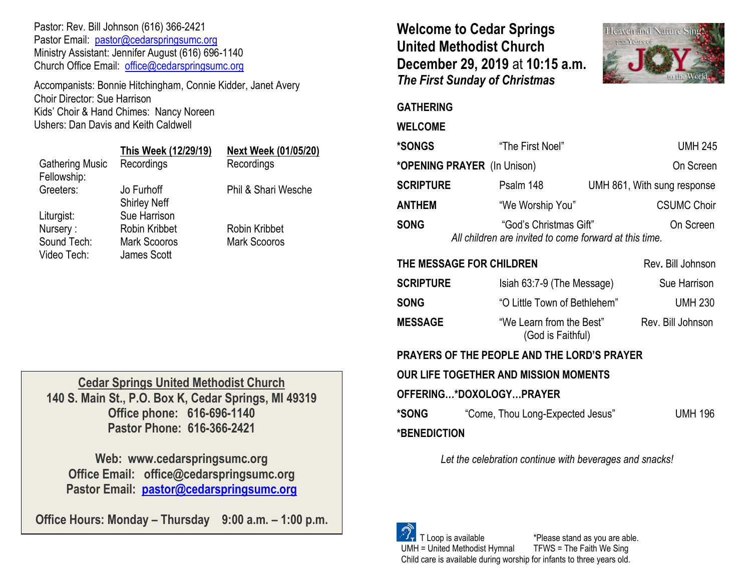Pastor: Rev. Bill Johnson (616) 366-2421 Pastor Email: [pastor@cedarspringsumc.org](mailto:pastor@cedarspringsumc.org) Ministry Assistant: Jennifer August (616) 696-1140 Church Office Email: [office@cedarspringsumc.org](mailto:office@cedarspringsumc.org)

Accompanists: Bonnie Hitchingham, Connie Kidder, Janet Avery Choir Director: Sue Harrison Kids' Choir & Hand Chimes: Nancy Noreen Ushers: Dan Davis and Keith Caldwell

**Cedar Springs United Methodist Church 140 S. Main St., P.O. Box K, Cedar Springs, MI 49319 Office phone: 616-696-1140 Pastor Phone: 616-366-2421**

**Web: www.cedarspringsumc.org Office Email: office@cedarspringsumc.org Pastor Email: [pastor@cedarspringsumc.org](mailto:pastor@cedarspringsumc.org)**

**Office Hours: Monday – Thursday 9:00 a.m. – 1:00 p.m.**

**Welcome to Cedar Springs United Methodist Church December 29, 2019** at **10:15 a.m.**  *The First Sunday of Christmas*



### **GATHERING**

#### **WELCOME**

| <b>*SONGS</b>    | "The First Noel"                                                                              | <b>UMH 245</b>              |
|------------------|-----------------------------------------------------------------------------------------------|-----------------------------|
|                  | *OPENING PRAYER (In Unison)                                                                   | On Screen                   |
| <b>SCRIPTURE</b> | Psalm 148                                                                                     | UMH 861, With sung response |
| ANTHEM           | "We Worship You"                                                                              | <b>CSUMC Choir</b>          |
| <b>SONG</b>      | "God's Christmas Gift"<br>On Screen<br>All children are invited to come forward at this time. |                             |
|                  | THE MESSAGE FOR CHILDREN                                                                      | Rev. Bill Johnson           |

| SCRIPTURE      | Isiah 63:7-9 (The Message)                    | Sue Harrison      |
|----------------|-----------------------------------------------|-------------------|
| <b>SONG</b>    | "O Little Town of Bethlehem"                  | <b>UMH 230</b>    |
| <b>MESSAGE</b> | "We Learn from the Best"<br>(God is Faithful) | Rev. Bill Johnson |

## **PRAYERS OF THE PEOPLE AND THE LORD'S PRAYER**

**OUR LIFE TOGETHER AND MISSION MOMENTS**

### **OFFERING…\*DOXOLOGY…PRAYER**

**\*SONG** "Come, Thou Long-Expected Jesus" UMH 196 **\*BENEDICTION** 

*Let the celebration continue with beverages and snacks!*